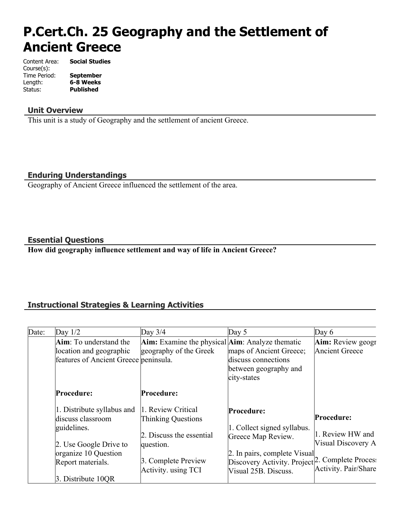# **P.Cert.Ch. 25 Geography and the Settlement of Ancient Greece**

| Content Area: | <b>Social Studies</b> |
|---------------|-----------------------|
| Course(s):    |                       |
| Time Period:  | <b>September</b>      |
| Length:       | 6-8 Weeks             |
| Status:       | <b>Published</b>      |

#### **Unit Overview**

This unit is a study of Geography and the settlement of ancient Greece.

**Enduring Understandings**

Geography of Ancient Greece influenced the settlement of the area.

#### **Essential Questions**

**How did geography influence settlement and way of life in Ancient Greece?**

## **Instructional Strategies & Learning Activities**

| Date: | Day $1/2$                                                                                          | Day $3/4$                                                                                | Day $5$                                                                                                             | Day $6$                                    |
|-------|----------------------------------------------------------------------------------------------------|------------------------------------------------------------------------------------------|---------------------------------------------------------------------------------------------------------------------|--------------------------------------------|
|       | <b>Aim</b> : To understand the<br>location and geographic<br>features of Ancient Greece peninsula. | <b>Aim:</b> Examine the physical <b>Aim</b> : Analyze thematic<br>geography of the Greek | maps of Ancient Greece;<br>discuss connections<br>between geography and<br>city-states                              | <b>Aim:</b> Review geogr<br>Ancient Greece |
|       | Procedure:                                                                                         | Procedure:                                                                               |                                                                                                                     |                                            |
|       | 1. Distribute syllabus and<br>discuss classroom<br>guidelines.                                     | 1. Review Critical<br><b>Thinking Questions</b><br>2. Discuss the essential              | Procedure:<br>1. Collect signed syllabus.<br>Greece Map Review.                                                     | Procedure:<br>1. Review HW and             |
|       | 2. Use Google Drive to<br>organize 10 Question<br>Report materials.<br>3. Distribute 10QR          | question.<br>3. Complete Preview<br>Activity. using TCI                                  | 2. In pairs, complete Visual<br>Discovery Activity. Project <sup>2</sup> . Complete Proces:<br>Visual 25B. Discuss. | Visual Discovery A<br>Activity. Pair/Share |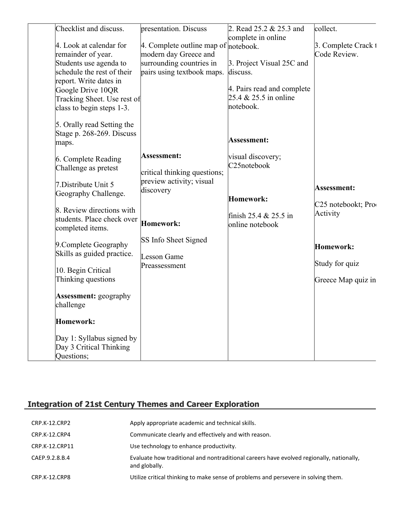| Checklist and discuss.       | presentation. Discuss                    | 2. Read 25.2 & 25.3 and    | collect.                       |
|------------------------------|------------------------------------------|----------------------------|--------------------------------|
|                              |                                          | complete in online         |                                |
| 4. Look at calendar for      | 4. Complete outline map of $ $ notebook. |                            | 3. Complete Crack 1            |
| remainder of year.           | modern day Greece and                    |                            | Code Review.                   |
| Students use agenda to       | surrounding countries in                 | 3. Project Visual 25C and  |                                |
| schedule the rest of their   | pairs using textbook maps.               | discuss.                   |                                |
| report. Write dates in       |                                          |                            |                                |
| Google Drive 10QR            |                                          | 4. Pairs read and complete |                                |
| Tracking Sheet. Use rest of  |                                          | 25.4 $& 25.5$ in online    |                                |
| class to begin steps 1-3.    |                                          | notebook.                  |                                |
| 5. Orally read Setting the   |                                          |                            |                                |
| Stage p. 268-269. Discuss    |                                          |                            |                                |
| maps.                        |                                          | Assessment:                |                                |
|                              |                                          |                            |                                |
| 6. Complete Reading          | Assessment:                              | visual discovery;          |                                |
| Challenge as pretest         |                                          | C <sub>25</sub> notebook   |                                |
|                              | critical thinking questions;             |                            |                                |
| 7. Distribute Unit 5         | preview activity; visual                 |                            | Assessment:                    |
| Geography Challenge.         | discovery                                |                            |                                |
|                              |                                          | Homework:                  | C <sub>25</sub> notebookt; Pro |
| 8. Review directions with    |                                          |                            |                                |
| students. Place check over   |                                          | finish 25.4 $&$ 25.5 in    | Activity                       |
| completed items.             | Homework:                                | online notebook            |                                |
|                              |                                          |                            |                                |
| 9. Complete Geography        | <b>SS Info Sheet Signed</b>              |                            | Homework:                      |
| Skills as guided practice.   |                                          |                            |                                |
|                              | Lesson Game                              |                            | Study for quiz                 |
| 10. Begin Critical           | Preassessment                            |                            |                                |
| Thinking questions           |                                          |                            | Greece Map quiz in             |
|                              |                                          |                            |                                |
| <b>Assessment:</b> geography |                                          |                            |                                |
| challenge                    |                                          |                            |                                |
|                              |                                          |                            |                                |
| Homework:                    |                                          |                            |                                |
| Day 1: Syllabus signed by    |                                          |                            |                                |
| Day 3 Critical Thinking      |                                          |                            |                                |
| Questions;                   |                                          |                            |                                |

# **Integration of 21st Century Themes and Career Exploration**

| CRP.K-12.CRP2  | Apply appropriate academic and technical skills.                                                          |
|----------------|-----------------------------------------------------------------------------------------------------------|
| CRP.K-12.CRP4  | Communicate clearly and effectively and with reason.                                                      |
| CRP.K-12.CRP11 | Use technology to enhance productivity.                                                                   |
| CAEP.9.2.8.B.4 | Evaluate how traditional and nontraditional careers have evolved regionally, nationally,<br>and globally. |
| CRP.K-12.CRP8  | Utilize critical thinking to make sense of problems and persevere in solving them.                        |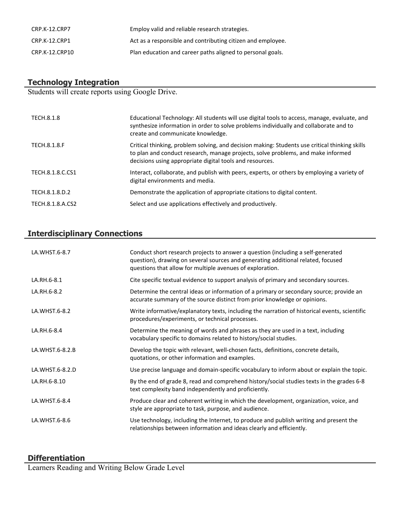| CRP.K-12.CRP7  | Employ valid and reliable research strategies.              |
|----------------|-------------------------------------------------------------|
| CRP.K-12.CRP1  | Act as a responsible and contributing citizen and employee. |
| CRP.K-12.CRP10 | Plan education and career paths aligned to personal goals.  |

#### **Technology Integration**

Students will create reports using Google Drive.

| TECH.8.1.8       | Educational Technology: All students will use digital tools to access, manage, evaluate, and<br>synthesize information in order to solve problems individually and collaborate and to<br>create and communicate knowledge.                     |
|------------------|------------------------------------------------------------------------------------------------------------------------------------------------------------------------------------------------------------------------------------------------|
| TECH.8.1.8.F     | Critical thinking, problem solving, and decision making: Students use critical thinking skills<br>to plan and conduct research, manage projects, solve problems, and make informed<br>decisions using appropriate digital tools and resources. |
| TECH.8.1.8.C.CS1 | Interact, collaborate, and publish with peers, experts, or others by employing a variety of<br>digital environments and media.                                                                                                                 |
| TECH.8.1.8.D.2   | Demonstrate the application of appropriate citations to digital content.                                                                                                                                                                       |
| TECH.8.1.8.A.CS2 | Select and use applications effectively and productively.                                                                                                                                                                                      |

# **Interdisciplinary Connections**

| LA.WHST.6-8.7   | Conduct short research projects to answer a question (including a self-generated<br>question), drawing on several sources and generating additional related, focused<br>questions that allow for multiple avenues of exploration. |
|-----------------|-----------------------------------------------------------------------------------------------------------------------------------------------------------------------------------------------------------------------------------|
| LA.RH.6-8.1     | Cite specific textual evidence to support analysis of primary and secondary sources.                                                                                                                                              |
| LA.RH.6-8.2     | Determine the central ideas or information of a primary or secondary source; provide an<br>accurate summary of the source distinct from prior knowledge or opinions.                                                              |
| LA.WHST.6-8.2   | Write informative/explanatory texts, including the narration of historical events, scientific<br>procedures/experiments, or technical processes.                                                                                  |
| LA.RH.6-8.4     | Determine the meaning of words and phrases as they are used in a text, including<br>vocabulary specific to domains related to history/social studies.                                                                             |
| LA.WHST.6-8.2.B | Develop the topic with relevant, well-chosen facts, definitions, concrete details,<br>quotations, or other information and examples.                                                                                              |
| LA.WHST.6-8.2.D | Use precise language and domain-specific vocabulary to inform about or explain the topic.                                                                                                                                         |
| LA.RH.6-8.10    | By the end of grade 8, read and comprehend history/social studies texts in the grades 6-8<br>text complexity band independently and proficiently.                                                                                 |
| LA.WHST.6-8.4   | Produce clear and coherent writing in which the development, organization, voice, and<br>style are appropriate to task, purpose, and audience.                                                                                    |
| LA.WHST.6-8.6   | Use technology, including the Internet, to produce and publish writing and present the<br>relationships between information and ideas clearly and efficiently.                                                                    |

#### **Differentiation**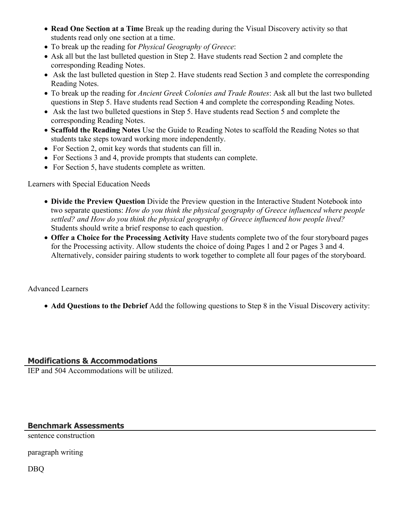- **Read One Section at a Time** Break up the reading during the Visual Discovery activity so that students read only one section at a time.
- To break up the reading for *Physical Geography of Greece*:
- Ask all but the last bulleted question in Step 2. Have students read Section 2 and complete the corresponding Reading Notes.
- Ask the last bulleted question in Step 2. Have students read Section 3 and complete the corresponding Reading Notes.
- To break up the reading for *Ancient Greek Colonies and Trade Routes*: Ask all but the last two bulleted questions in Step 5. Have students read Section 4 and complete the corresponding Reading Notes.
- Ask the last two bulleted questions in Step 5. Have students read Section 5 and complete the corresponding Reading Notes.
- **Scaffold the Reading Notes** Use the Guide to Reading Notes to scaffold the Reading Notes so that students take steps toward working more independently.
- For Section 2, omit key words that students can fill in.
- For Sections 3 and 4, provide prompts that students can complete.
- For Section 5, have students complete as written.

Learners with Special Education Needs

- **Divide the Preview Question** Divide the Preview question in the Interactive Student Notebook into two separate questions: *How do you think the physical geography of Greece influenced where people settled? and How do you think the physical geography of Greece influenced how people lived?* Students should write a brief response to each question.
- **Offer a Choice for the Processing Activity** Have students complete two of the four storyboard pages for the Processing activity. Allow students the choice of doing Pages 1 and 2 or Pages 3 and 4. Alternatively, consider pairing students to work together to complete all four pages of the storyboard.

Advanced Learners

**Add Questions to the Debrief** Add the following questions to Step 8 in the Visual Discovery activity:

#### **Modifications & Accommodations**

IEP and 504 Accommodations will be utilized.

#### **Benchmark Assessments**

sentence construction

paragraph writing

DBQ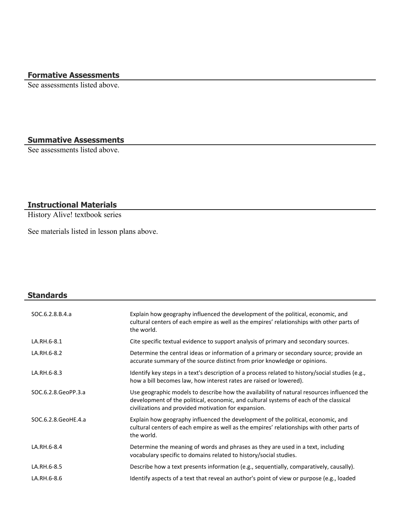#### **Formative Assessments**

See assessments listed above.

#### **Summative Assessments**

See assessments listed above.

#### **Instructional Materials**

**Standards**

History Alive! textbook series

See materials listed in lesson plans above.

### SOC.6.2.8.B.4.a Explain how geography influenced the development of the political, economic, and cultural centers of each empire as well as the empires' relationships with other parts of the world. LA.RH.6-8.1 Cite specific textual evidence to support analysis of primary and secondary sources. LA.RH.6-8.2 Determine the central ideas or information of a primary or secondary source; provide an accurate summary of the source distinct from prior knowledge or opinions. LA.RH.6-8.3 Identify key steps in a text's description of a process related to history/social studies (e.g., how a bill becomes law, how interest rates are raised or lowered). SOC.6.2.8.GeoPP.3.a Use geographic models to describe how the availability of natural resources influenced the development of the political, economic, and cultural systems of each of the classical civilizations and provided motivation for expansion. SOC.6.2.8.GeoHE.4.a Explain how geography influenced the development of the political, economic, and cultural centers of each empire as well as the empires' relationships with other parts of the world. LA.RH.6-8.4 **Determine the meaning of words and phrases as they are used in a text, including**

vocabulary specific to domains related to history/social studies. LA.RH.6-8.5 **Describe how a text presents information (e.g., sequentially, comparatively, causally).** LA.RH.6-8.6 **In the act of a text that reveal an author's point of view or purpose (e.g., loaded** but not all purpose (e.g., loaded